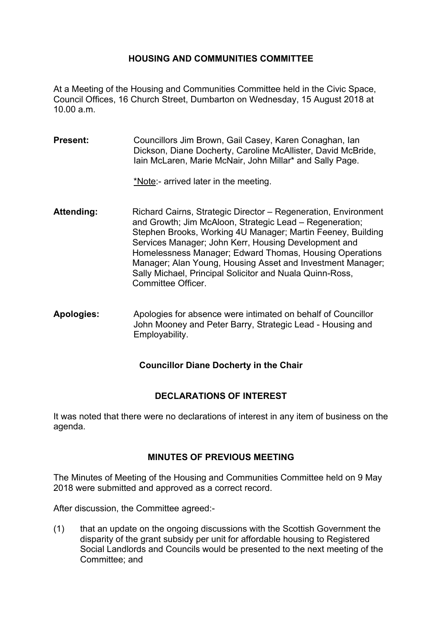### **HOUSING AND COMMUNITIES COMMITTEE**

At a Meeting of the Housing and Communities Committee held in the Civic Space, Council Offices, 16 Church Street, Dumbarton on Wednesday, 15 August 2018 at 10.00 a.m.

**Present:** Councillors Jim Brown, Gail Casey, Karen Conaghan, Ian Dickson, Diane Docherty, Caroline McAllister, David McBride, Iain McLaren, Marie McNair, John Millar\* and Sally Page.

\*Note:- arrived later in the meeting.

- **Attending:** Richard Cairns, Strategic Director Regeneration, Environment and Growth; Jim McAloon, Strategic Lead – Regeneration; Stephen Brooks, Working 4U Manager; Martin Feeney, Building Services Manager; John Kerr, Housing Development and Homelessness Manager; Edward Thomas, Housing Operations Manager; Alan Young, Housing Asset and Investment Manager; Sally Michael, Principal Solicitor and Nuala Quinn-Ross, Committee Officer.
- **Apologies:** Apologies for absence were intimated on behalf of Councillor John Mooney and Peter Barry, Strategic Lead - Housing and Employability.

### **Councillor Diane Docherty in the Chair**

### **DECLARATIONS OF INTEREST**

It was noted that there were no declarations of interest in any item of business on the agenda.

### **MINUTES OF PREVIOUS MEETING**

The Minutes of Meeting of the Housing and Communities Committee held on 9 May 2018 were submitted and approved as a correct record.

After discussion, the Committee agreed:-

(1) that an update on the ongoing discussions with the Scottish Government the disparity of the grant subsidy per unit for affordable housing to Registered Social Landlords and Councils would be presented to the next meeting of the Committee; and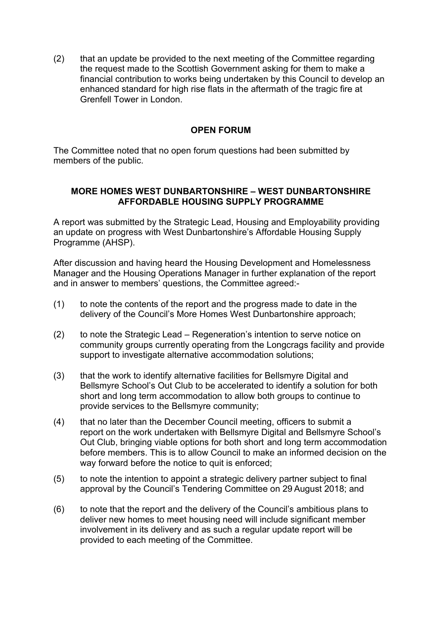(2) that an update be provided to the next meeting of the Committee regarding the request made to the Scottish Government asking for them to make a financial contribution to works being undertaken by this Council to develop an enhanced standard for high rise flats in the aftermath of the tragic fire at Grenfell Tower in London.

## **OPEN FORUM**

The Committee noted that no open forum questions had been submitted by members of the public.

## **MORE HOMES WEST DUNBARTONSHIRE – WEST DUNBARTONSHIRE AFFORDABLE HOUSING SUPPLY PROGRAMME**

A report was submitted by the Strategic Lead, Housing and Employability providing an update on progress with West Dunbartonshire's Affordable Housing Supply Programme (AHSP).

After discussion and having heard the Housing Development and Homelessness Manager and the Housing Operations Manager in further explanation of the report and in answer to members' questions, the Committee agreed:-

- (1) to note the contents of the report and the progress made to date in the delivery of the Council's More Homes West Dunbartonshire approach;
- (2) to note the Strategic Lead Regeneration's intention to serve notice on community groups currently operating from the Longcrags facility and provide support to investigate alternative accommodation solutions;
- (3) that the work to identify alternative facilities for Bellsmyre Digital and Bellsmyre School's Out Club to be accelerated to identify a solution for both short and long term accommodation to allow both groups to continue to provide services to the Bellsmyre community;
- (4) that no later than the December Council meeting, officers to submit a report on the work undertaken with Bellsmyre Digital and Bellsmyre School's Out Club, bringing viable options for both short and long term accommodation before members. This is to allow Council to make an informed decision on the way forward before the notice to quit is enforced;
- (5) to note the intention to appoint a strategic delivery partner subject to final approval by the Council's Tendering Committee on 29 August 2018; and
- (6) to note that the report and the delivery of the Council's ambitious plans to deliver new homes to meet housing need will include significant member involvement in its delivery and as such a regular update report will be provided to each meeting of the Committee.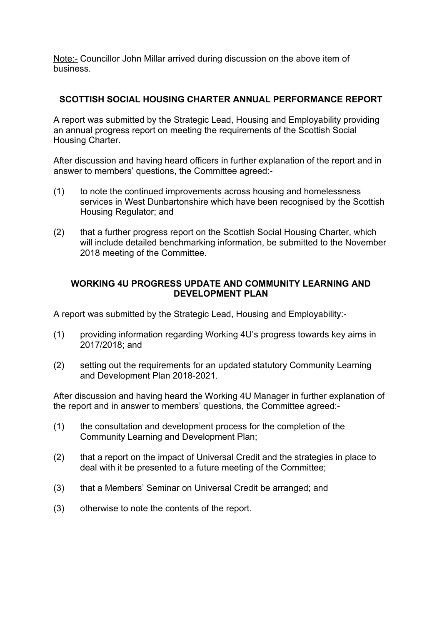Note:- Councillor John Millar arrived during discussion on the above item of business.

# **SCOTTISH SOCIAL HOUSING CHARTER ANNUAL PERFORMANCE REPORT**

A report was submitted by the Strategic Lead, Housing and Employability providing an annual progress report on meeting the requirements of the Scottish Social Housing Charter.

After discussion and having heard officers in further explanation of the report and in answer to members' questions, the Committee agreed:-

- (1) to note the continued improvements across housing and homelessness services in West Dunbartonshire which have been recognised by the Scottish Housing Regulator; and
- (2) that a further progress report on the Scottish Social Housing Charter, which will include detailed benchmarking information, be submitted to the November 2018 meeting of the Committee.

### **WORKING 4U PROGRESS UPDATE AND COMMUNITY LEARNING AND DEVELOPMENT PLAN**

A report was submitted by the Strategic Lead, Housing and Employability:-

- (1) providing information regarding Working 4U's progress towards key aims in 2017/2018; and
- (2) setting out the requirements for an updated statutory Community Learning and Development Plan 2018-2021.

After discussion and having heard the Working 4U Manager in further explanation of the report and in answer to members' questions, the Committee agreed:-

- (1) the consultation and development process for the completion of the Community Learning and Development Plan;
- (2) that a report on the impact of Universal Credit and the strategies in place to deal with it be presented to a future meeting of the Committee;
- (3) that a Members' Seminar on Universal Credit be arranged; and
- (3) otherwise to note the contents of the report.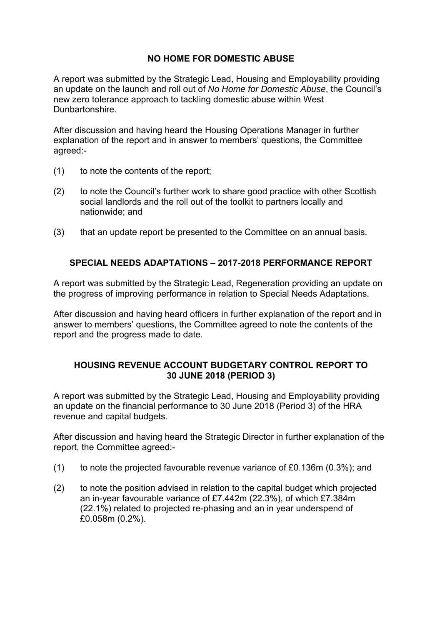# **NO HOME FOR DOMESTIC ABUSE**

A report was submitted by the Strategic Lead, Housing and Employability providing an update on the launch and roll out of *No Home for Domestic Abuse*, the Council's new zero tolerance approach to tackling domestic abuse within West Dunbartonshire.

After discussion and having heard the Housing Operations Manager in further explanation of the report and in answer to members' questions, the Committee agreed:-

- (1) to note the contents of the report;
- (2) to note the Council's further work to share good practice with other Scottish social landlords and the roll out of the toolkit to partners locally and nationwide; and
- (3) that an update report be presented to the Committee on an annual basis.

# **SPECIAL NEEDS ADAPTATIONS – 2017-2018 PERFORMANCE REPORT**

A report was submitted by the Strategic Lead, Regeneration providing an update on the progress of improving performance in relation to Special Needs Adaptations.

After discussion and having heard officers in further explanation of the report and in answer to members' questions, the Committee agreed to note the contents of the report and the progress made to date.

### **HOUSING REVENUE ACCOUNT BUDGETARY CONTROL REPORT TO 30 JUNE 2018 (PERIOD 3)**

A report was submitted by the Strategic Lead, Housing and Employability providing an update on the financial performance to 30 June 2018 (Period 3) of the HRA revenue and capital budgets.

After discussion and having heard the Strategic Director in further explanation of the report, the Committee agreed:-

- (1) to note the projected favourable revenue variance of £0.136m (0.3%); and
- (2) to note the position advised in relation to the capital budget which projected an in-year favourable variance of £7.442m (22.3%), of which £7.384m (22.1%) related to projected re-phasing and an in year underspend of £0.058m (0.2%).